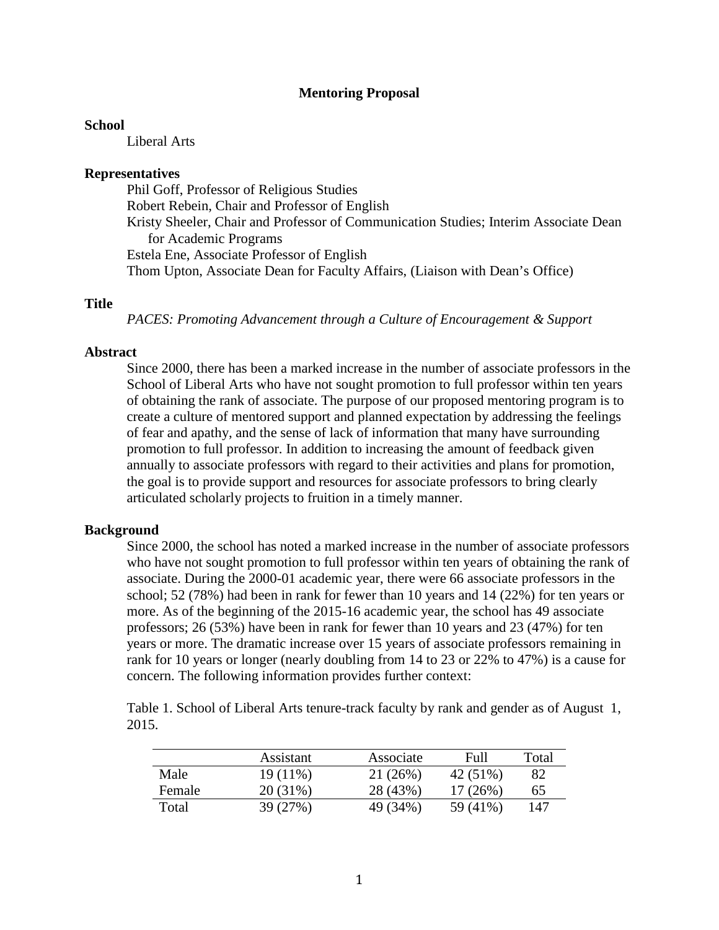#### **Mentoring Proposal**

#### **School**

Liberal Arts

#### **Representatives**

Phil Goff, Professor of Religious Studies Robert Rebein, Chair and Professor of English Kristy Sheeler, Chair and Professor of Communication Studies; Interim Associate Dean for Academic Programs Estela Ene, Associate Professor of English Thom Upton, Associate Dean for Faculty Affairs, (Liaison with Dean's Office)

#### **Title**

*PACES: Promoting Advancement through a Culture of Encouragement & Support*

#### **Abstract**

Since 2000, there has been a marked increase in the number of associate professors in the School of Liberal Arts who have not sought promotion to full professor within ten years of obtaining the rank of associate. The purpose of our proposed mentoring program is to create a culture of mentored support and planned expectation by addressing the feelings of fear and apathy, and the sense of lack of information that many have surrounding promotion to full professor. In addition to increasing the amount of feedback given annually to associate professors with regard to their activities and plans for promotion, the goal is to provide support and resources for associate professors to bring clearly articulated scholarly projects to fruition in a timely manner.

#### **Background**

Since 2000, the school has noted a marked increase in the number of associate professors who have not sought promotion to full professor within ten years of obtaining the rank of associate. During the 2000-01 academic year, there were 66 associate professors in the school; 52 (78%) had been in rank for fewer than 10 years and 14 (22%) for ten years or more. As of the beginning of the 2015-16 academic year, the school has 49 associate professors; 26 (53%) have been in rank for fewer than 10 years and 23 (47%) for ten years or more. The dramatic increase over 15 years of associate professors remaining in rank for 10 years or longer (nearly doubling from 14 to 23 or 22% to 47%) is a cause for concern. The following information provides further context:

Table 1. School of Liberal Arts tenure-track faculty by rank and gender as of August 1, 2015.

|        | Assistant  | Associate | Full     | Total |
|--------|------------|-----------|----------|-------|
| Male   | $19(11\%)$ | 21(26%)   | 42 (51%) | 82    |
| Female | 20 (31%)   | 28 (43%)  | 17(26%)  | 65    |
| Total  | 39 (27%)   | 49 (34%)  | 59 (41%) | 147   |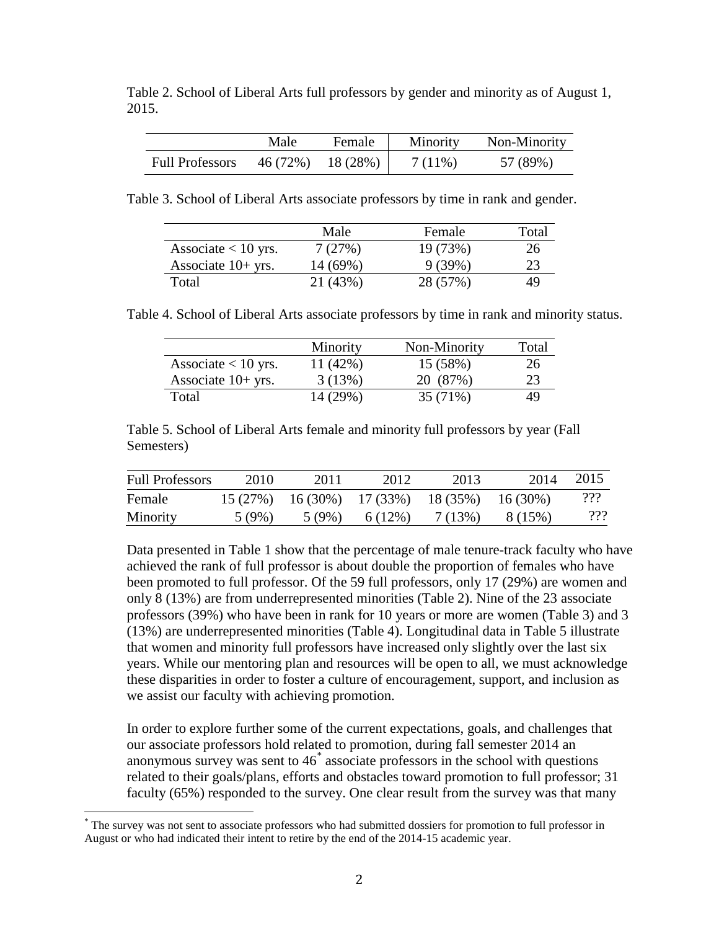Table 2. School of Liberal Arts full professors by gender and minority as of August 1, 2015.

|                        | Male     | Female   | Minority | Non-Minority |
|------------------------|----------|----------|----------|--------------|
| <b>Full Professors</b> | 46 (72%) | 18 (28%) | 7(11\%)  | 57 (89%)     |

Table 3. School of Liberal Arts associate professors by time in rank and gender.

|                       | Male     | Female   | Total |
|-----------------------|----------|----------|-------|
| Associate $< 10$ yrs. | 7(27%)   | 19(73%)  | 26    |
| Associate $10+$ yrs.  | 14 (69%) | 9(39%)   | 23    |
| Total                 | 21 (43%) | 28 (57%) | 49    |

Table 4. School of Liberal Arts associate professors by time in rank and minority status.

|                       | Minority   | Non-Minority | Total |
|-----------------------|------------|--------------|-------|
| Associate $< 10$ yrs. | $11(42\%)$ | 15 (58%)     | 26    |
| Associate $10+$ yrs.  | 3(13%)     | 20 (87%)     | 23    |
| Total                 | 14 (29%)   | $35(71\%)$   | 49    |

Table 5. School of Liberal Arts female and minority full professors by year (Fall Semesters)

| <b>Full Professors</b> | 2010    | 2011                | 2012    | 2013     | 2014       | 2015 |
|------------------------|---------|---------------------|---------|----------|------------|------|
| Female                 | 15(27%) | $16(30\%)$ 17 (33%) |         | 18 (35%) | $16(30\%)$ | ???  |
| Minority               | 5 (9%)  | 5(9%)               | 6 (12%) | 7 (13%)  | 8 (15%)    | 222  |

Data presented in Table 1 show that the percentage of male tenure-track faculty who have achieved the rank of full professor is about double the proportion of females who have been promoted to full professor. Of the 59 full professors, only 17 (29%) are women and only 8 (13%) are from underrepresented minorities (Table 2). Nine of the 23 associate professors (39%) who have been in rank for 10 years or more are women (Table 3) and 3 (13%) are underrepresented minorities (Table 4). Longitudinal data in Table 5 illustrate that women and minority full professors have increased only slightly over the last six years. While our mentoring plan and resources will be open to all, we must acknowledge these disparities in order to foster a culture of encouragement, support, and inclusion as we assist our faculty with achieving promotion.

In order to explore further some of the current expectations, goals, and challenges that our associate professors hold related to promotion, during fall semester 2014 an anonymous survey was sent to  $46^*$  $46^*$  associate professors in the school with questions related to their goals/plans, efforts and obstacles toward promotion to full professor; 31 faculty (65%) responded to the survey. One clear result from the survey was that many

<span id="page-1-0"></span>\* The survey was not sent to associate professors who had submitted dossiers for promotion to full professor in August or who had indicated their intent to retire by the end of the 2014-15 academic year.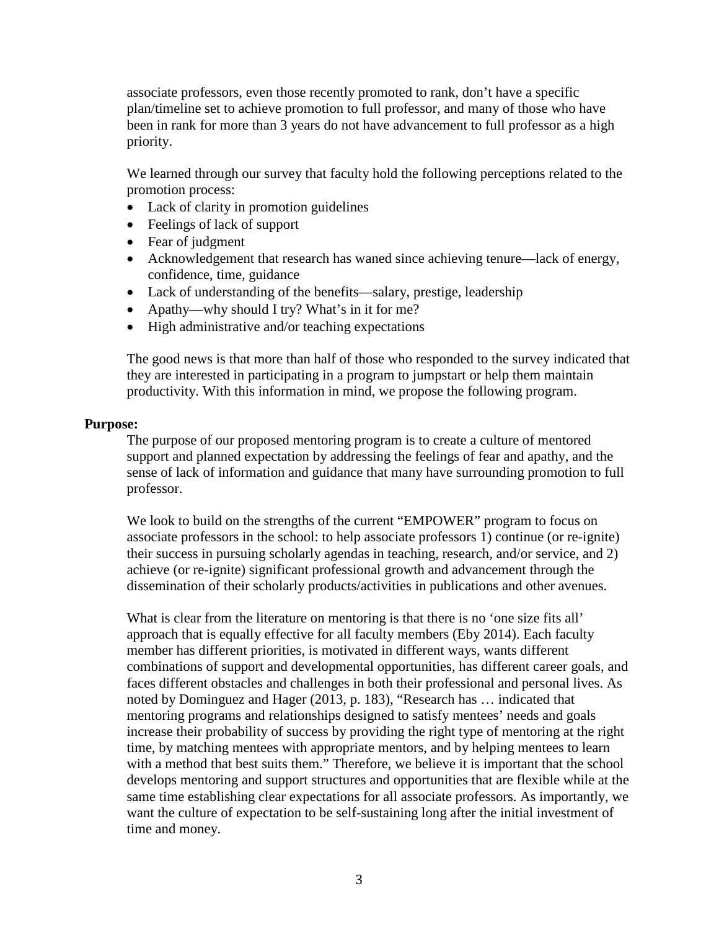associate professors, even those recently promoted to rank, don't have a specific plan/timeline set to achieve promotion to full professor, and many of those who have been in rank for more than 3 years do not have advancement to full professor as a high priority.

We learned through our survey that faculty hold the following perceptions related to the promotion process:

- Lack of clarity in promotion guidelines
- Feelings of lack of support
- Fear of judgment
- Acknowledgement that research has waned since achieving tenure—lack of energy, confidence, time, guidance
- Lack of understanding of the benefits—salary, prestige, leadership
- Apathy—why should I try? What's in it for me?
- High administrative and/or teaching expectations

The good news is that more than half of those who responded to the survey indicated that they are interested in participating in a program to jumpstart or help them maintain productivity. With this information in mind, we propose the following program.

### **Purpose:**

The purpose of our proposed mentoring program is to create a culture of mentored support and planned expectation by addressing the feelings of fear and apathy, and the sense of lack of information and guidance that many have surrounding promotion to full professor.

We look to build on the strengths of the current "EMPOWER" program to focus on associate professors in the school: to help associate professors 1) continue (or re-ignite) their success in pursuing scholarly agendas in teaching, research, and/or service, and 2) achieve (or re-ignite) significant professional growth and advancement through the dissemination of their scholarly products/activities in publications and other avenues.

What is clear from the literature on mentoring is that there is no 'one size fits all' approach that is equally effective for all faculty members (Eby 2014). Each faculty member has different priorities, is motivated in different ways, wants different combinations of support and developmental opportunities, has different career goals, and faces different obstacles and challenges in both their professional and personal lives. As noted by Dominguez and Hager (2013, p. 183), "Research has … indicated that mentoring programs and relationships designed to satisfy mentees' needs and goals increase their probability of success by providing the right type of mentoring at the right time, by matching mentees with appropriate mentors, and by helping mentees to learn with a method that best suits them." Therefore, we believe it is important that the school develops mentoring and support structures and opportunities that are flexible while at the same time establishing clear expectations for all associate professors. As importantly, we want the culture of expectation to be self-sustaining long after the initial investment of time and money.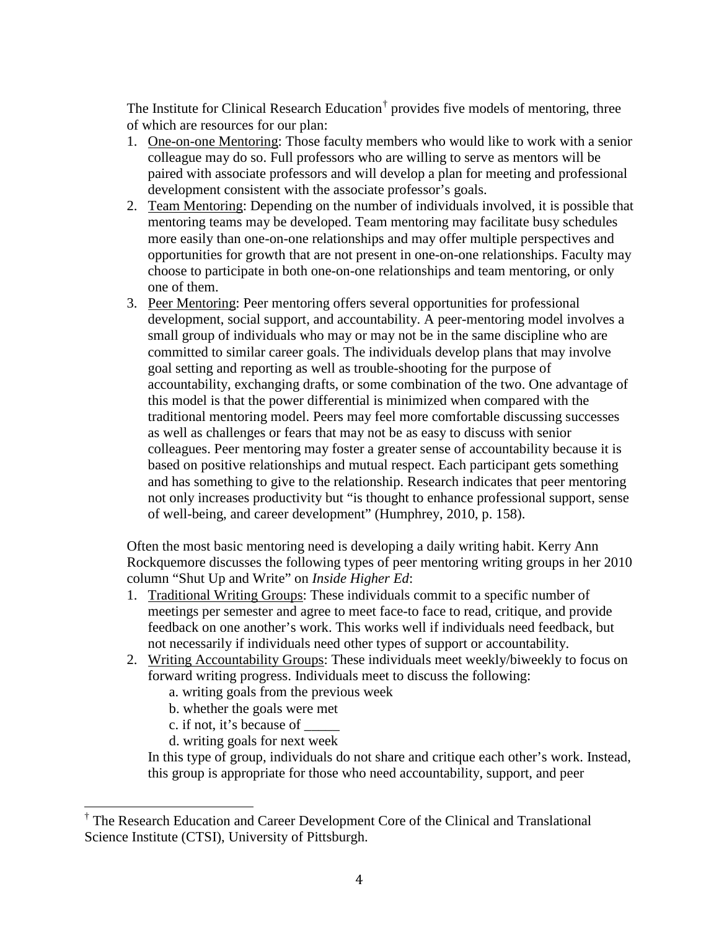The Institute for Clinical Research Education<sup>[†](#page-3-0)</sup> provides five models of mentoring, three of which are resources for our plan:

- 1. One-on-one Mentoring: Those faculty members who would like to work with a senior colleague may do so. Full professors who are willing to serve as mentors will be paired with associate professors and will develop a plan for meeting and professional development consistent with the associate professor's goals.
- 2. Team Mentoring: Depending on the number of individuals involved, it is possible that mentoring teams may be developed. Team mentoring may facilitate busy schedules more easily than one-on-one relationships and may offer multiple perspectives and opportunities for growth that are not present in one-on-one relationships. Faculty may choose to participate in both one-on-one relationships and team mentoring, or only one of them.
- 3. Peer Mentoring: Peer mentoring offers several opportunities for professional development, social support, and accountability. A peer-mentoring model involves a small group of individuals who may or may not be in the same discipline who are committed to similar career goals. The individuals develop plans that may involve goal setting and reporting as well as trouble-shooting for the purpose of accountability, exchanging drafts, or some combination of the two. One advantage of this model is that the power differential is minimized when compared with the traditional mentoring model. Peers may feel more comfortable discussing successes as well as challenges or fears that may not be as easy to discuss with senior colleagues. Peer mentoring may foster a greater sense of accountability because it is based on positive relationships and mutual respect. Each participant gets something and has something to give to the relationship. Research indicates that peer mentoring not only increases productivity but "is thought to enhance professional support, sense of well-being, and career development" (Humphrey, 2010, p. 158).

Often the most basic mentoring need is developing a daily writing habit. Kerry Ann Rockquemore discusses the following types of peer mentoring writing groups in her 2010 column "Shut Up and Write" on *Inside Higher Ed*:

- 1. Traditional Writing Groups: These individuals commit to a specific number of meetings per semester and agree to meet face-to face to read, critique, and provide feedback on one another's work. This works well if individuals need feedback, but not necessarily if individuals need other types of support or accountability.
- 2. Writing Accountability Groups: These individuals meet weekly/biweekly to focus on forward writing progress. Individuals meet to discuss the following:
	- a. writing goals from the previous week
	- b. whether the goals were met
	- c. if not, it's because of \_\_\_\_\_
	- d. writing goals for next week

In this type of group, individuals do not share and critique each other's work. Instead, this group is appropriate for those who need accountability, support, and peer

<span id="page-3-0"></span>† The Research Education and Career Development Core of the Clinical and Translational Science Institute (CTSI), University of Pittsburgh.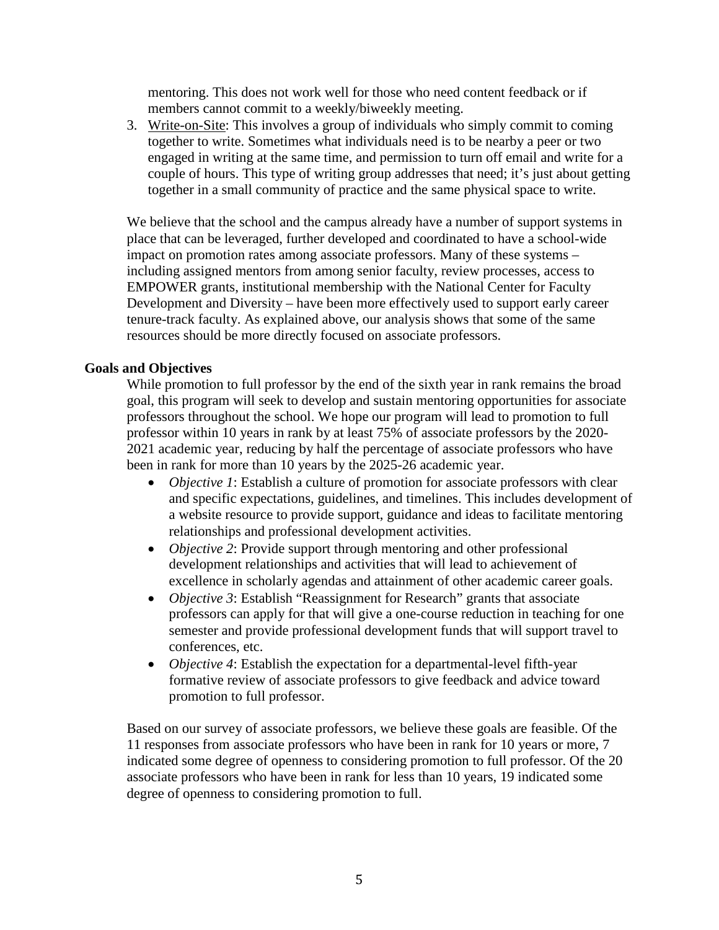mentoring. This does not work well for those who need content feedback or if members cannot commit to a weekly/biweekly meeting.

3. Write-on-Site: This involves a group of individuals who simply commit to coming together to write. Sometimes what individuals need is to be nearby a peer or two engaged in writing at the same time, and permission to turn off email and write for a couple of hours. This type of writing group addresses that need; it's just about getting together in a small community of practice and the same physical space to write.

We believe that the school and the campus already have a number of support systems in place that can be leveraged, further developed and coordinated to have a school-wide impact on promotion rates among associate professors. Many of these systems – including assigned mentors from among senior faculty, review processes, access to EMPOWER grants, institutional membership with the National Center for Faculty Development and Diversity – have been more effectively used to support early career tenure-track faculty. As explained above, our analysis shows that some of the same resources should be more directly focused on associate professors.

## **Goals and Objectives**

While promotion to full professor by the end of the sixth year in rank remains the broad goal, this program will seek to develop and sustain mentoring opportunities for associate professors throughout the school. We hope our program will lead to promotion to full professor within 10 years in rank by at least 75% of associate professors by the 2020- 2021 academic year, reducing by half the percentage of associate professors who have been in rank for more than 10 years by the 2025-26 academic year.

- *Objective 1*: Establish a culture of promotion for associate professors with clear and specific expectations, guidelines, and timelines. This includes development of a website resource to provide support, guidance and ideas to facilitate mentoring relationships and professional development activities.
- *Objective 2*: Provide support through mentoring and other professional development relationships and activities that will lead to achievement of excellence in scholarly agendas and attainment of other academic career goals.
- *Objective 3*: Establish "Reassignment for Research" grants that associate professors can apply for that will give a one-course reduction in teaching for one semester and provide professional development funds that will support travel to conferences, etc.
- *Objective 4*: Establish the expectation for a departmental-level fifth-year formative review of associate professors to give feedback and advice toward promotion to full professor.

Based on our survey of associate professors, we believe these goals are feasible. Of the 11 responses from associate professors who have been in rank for 10 years or more, 7 indicated some degree of openness to considering promotion to full professor. Of the 20 associate professors who have been in rank for less than 10 years, 19 indicated some degree of openness to considering promotion to full.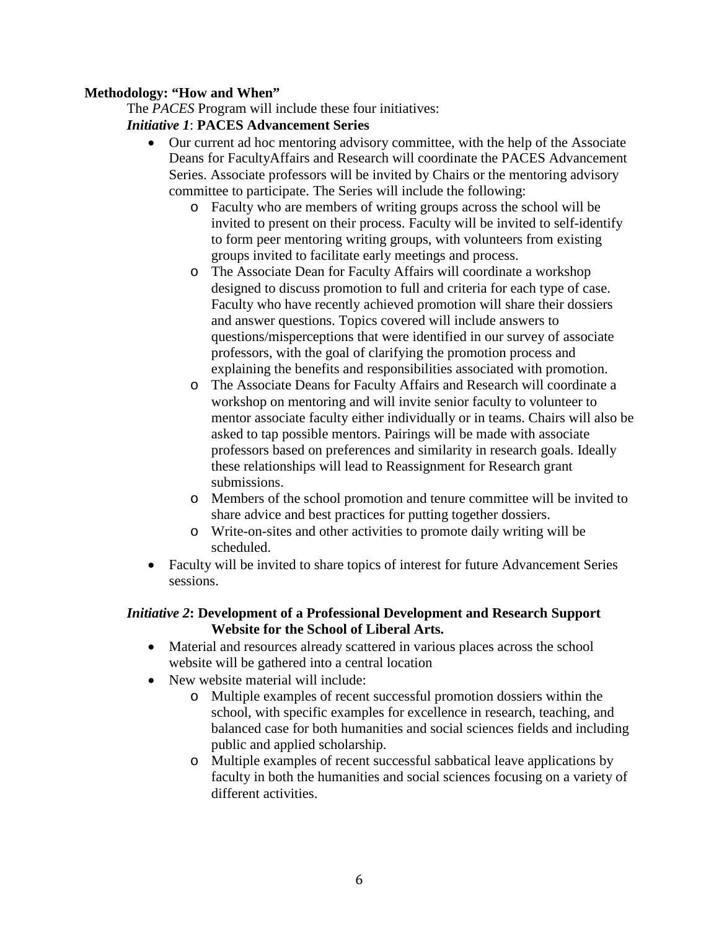## **Methodology: "How and When"**

The *PACES* Program will include these four initiatives:

## *Initiative 1*: **PACES Advancement Series**

- Our current ad hoc mentoring advisory committee, with the help of the Associate Deans for FacultyAffairs and Research will coordinate the PACES Advancement Series. Associate professors will be invited by Chairs or the mentoring advisory committee to participate. The Series will include the following:
	- o Faculty who are members of writing groups across the school will be invited to present on their process. Faculty will be invited to self-identify to form peer mentoring writing groups, with volunteers from existing groups invited to facilitate early meetings and process.
	- o The Associate Dean for Faculty Affairs will coordinate a workshop designed to discuss promotion to full and criteria for each type of case. Faculty who have recently achieved promotion will share their dossiers and answer questions. Topics covered will include answers to questions/misperceptions that were identified in our survey of associate professors, with the goal of clarifying the promotion process and explaining the benefits and responsibilities associated with promotion.
	- o The Associate Deans for Faculty Affairs and Research will coordinate a workshop on mentoring and will invite senior faculty to volunteer to mentor associate faculty either individually or in teams. Chairs will also be asked to tap possible mentors. Pairings will be made with associate professors based on preferences and similarity in research goals. Ideally these relationships will lead to Reassignment for Research grant submissions.
	- o Members of the school promotion and tenure committee will be invited to share advice and best practices for putting together dossiers.
	- o Write-on-sites and other activities to promote daily writing will be scheduled.
- Faculty will be invited to share topics of interest for future Advancement Series sessions.

## *Initiative 2***: Development of a Professional Development and Research Support Website for the School of Liberal Arts.**

- Material and resources already scattered in various places across the school website will be gathered into a central location
- New website material will include:
	- o Multiple examples of recent successful promotion dossiers within the school, with specific examples for excellence in research, teaching, and balanced case for both humanities and social sciences fields and including public and applied scholarship.
	- o Multiple examples of recent successful sabbatical leave applications by faculty in both the humanities and social sciences focusing on a variety of different activities.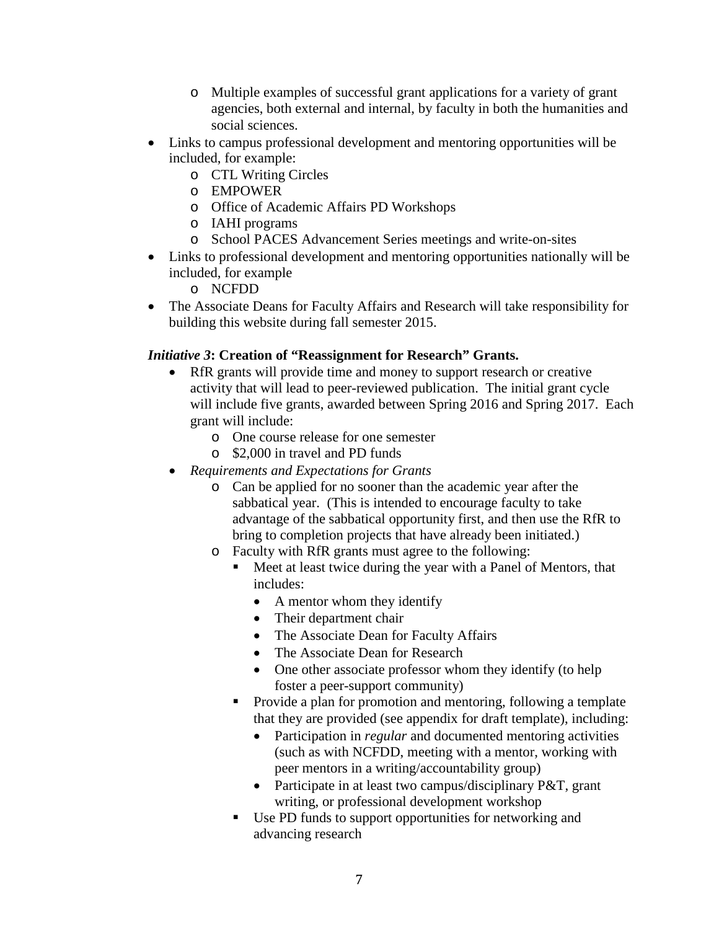- o Multiple examples of successful grant applications for a variety of grant agencies, both external and internal, by faculty in both the humanities and social sciences.
- Links to campus professional development and mentoring opportunities will be included, for example:
	- o CTL Writing Circles
	- o EMPOWER
	- o Office of Academic Affairs PD Workshops
	- o IAHI programs
	- o School PACES Advancement Series meetings and write-on-sites
- Links to professional development and mentoring opportunities nationally will be included, for example

o NCFDD

• The Associate Deans for Faculty Affairs and Research will take responsibility for building this website during fall semester 2015.

# *Initiative 3***: Creation of "Reassignment for Research" Grants.**

- RfR grants will provide time and money to support research or creative activity that will lead to peer-reviewed publication. The initial grant cycle will include five grants, awarded between Spring 2016 and Spring 2017. Each grant will include:
	- o One course release for one semester
	- o \$2,000 in travel and PD funds
- *Requirements and Expectations for Grants*
	- o Can be applied for no sooner than the academic year after the sabbatical year. (This is intended to encourage faculty to take advantage of the sabbatical opportunity first, and then use the RfR to bring to completion projects that have already been initiated.)
	- o Faculty with RfR grants must agree to the following:
		- Meet at least twice during the year with a Panel of Mentors, that includes:
			- A mentor whom they identify
			- Their department chair
			- The Associate Dean for Faculty Affairs
			- The Associate Dean for Research
			- One other associate professor whom they identify (to help foster a peer-support community)
		- Provide a plan for promotion and mentoring, following a template that they are provided (see appendix for draft template), including:
			- Participation in *regular* and documented mentoring activities (such as with NCFDD, meeting with a mentor, working with peer mentors in a writing/accountability group)
			- Participate in at least two campus/disciplinary P&T, grant writing, or professional development workshop
		- Use PD funds to support opportunities for networking and advancing research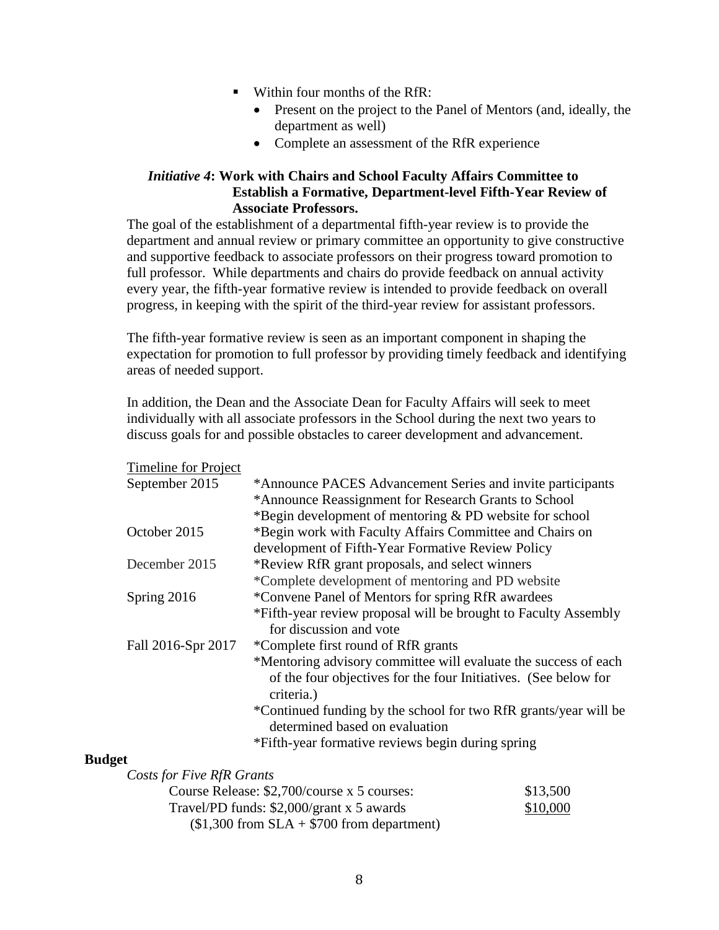- $\blacksquare$  Within four months of the RfR:
	- Present on the project to the Panel of Mentors (and, ideally, the department as well)
	- Complete an assessment of the RfR experience

## *Initiative 4***: Work with Chairs and School Faculty Affairs Committee to Establish a Formative, Department-level Fifth-Year Review of Associate Professors.**

The goal of the establishment of a departmental fifth-year review is to provide the department and annual review or primary committee an opportunity to give constructive and supportive feedback to associate professors on their progress toward promotion to full professor. While departments and chairs do provide feedback on annual activity every year, the fifth-year formative review is intended to provide feedback on overall progress, in keeping with the spirit of the third-year review for assistant professors.

The fifth-year formative review is seen as an important component in shaping the expectation for promotion to full professor by providing timely feedback and identifying areas of needed support.

In addition, the Dean and the Associate Dean for Faculty Affairs will seek to meet individually with all associate professors in the School during the next two years to discuss goals for and possible obstacles to career development and advancement.

| Timeline for Project      |                                                                                                    |
|---------------------------|----------------------------------------------------------------------------------------------------|
| September 2015            | *Announce PACES Advancement Series and invite participants                                         |
|                           | *Announce Reassignment for Research Grants to School                                               |
|                           | *Begin development of mentoring & PD website for school                                            |
| October 2015              | *Begin work with Faculty Affairs Committee and Chairs on                                           |
|                           | development of Fifth-Year Formative Review Policy                                                  |
| December 2015             | *Review RfR grant proposals, and select winners                                                    |
|                           | *Complete development of mentoring and PD website                                                  |
| Spring 2016               | *Convene Panel of Mentors for spring RfR awardees                                                  |
|                           | *Fifth-year review proposal will be brought to Faculty Assembly<br>for discussion and vote         |
| Fall 2016-Spr 2017        | *Complete first round of RfR grants                                                                |
|                           | *Mentoring advisory committee will evaluate the success of each                                    |
|                           | of the four objectives for the four Initiatives. (See below for<br>criteria.)                      |
|                           | *Continued funding by the school for two RfR grants/year will be<br>determined based on evaluation |
|                           | *Fifth-year formative reviews begin during spring                                                  |
| ۱t.                       |                                                                                                    |
| Costs for Five RfR Grants |                                                                                                    |

# **Budget**

| <i>USIS JUL LIVE IXIIX OTURIS</i>            |          |
|----------------------------------------------|----------|
| Course Release: \$2,700/course x 5 courses:  | \$13,500 |
| Travel/PD funds: $$2,000/grant x 5$ awards   | \$10,000 |
| $($1,300$ from $SLA + $700$ from department) |          |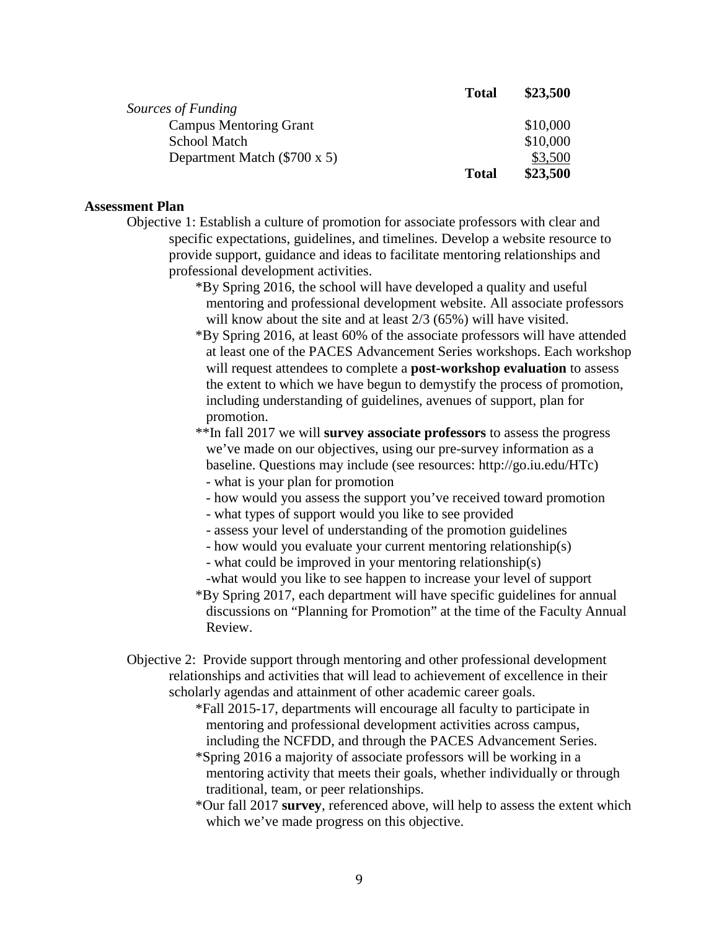|                               | <b>Total</b> | \$23,500 |
|-------------------------------|--------------|----------|
| Sources of Funding            |              |          |
| <b>Campus Mentoring Grant</b> |              | \$10,000 |
| <b>School Match</b>           |              | \$10,000 |
| Department Match (\$700 x 5)  |              | \$3,500  |
|                               | <b>Total</b> | \$23,500 |

## **Assessment Plan**

- Objective 1: Establish a culture of promotion for associate professors with clear and specific expectations, guidelines, and timelines. Develop a website resource to provide support, guidance and ideas to facilitate mentoring relationships and professional development activities.
	- \*By Spring 2016, the school will have developed a quality and useful mentoring and professional development website. All associate professors will know about the site and at least  $2/3$  (65%) will have visited.
	- \*By Spring 2016, at least 60% of the associate professors will have attended at least one of the PACES Advancement Series workshops. Each workshop will request attendees to complete a **post-workshop evaluation** to assess the extent to which we have begun to demystify the process of promotion, including understanding of guidelines, avenues of support, plan for promotion.
	- \*\*In fall 2017 we will **survey associate professors** to assess the progress we've made on our objectives, using our pre-survey information as a baseline. Questions may include (see resources: http://go.iu.edu/HTc) - what is your plan for promotion
		- how would you assess the support you've received toward promotion
		- what types of support would you like to see provided
		- assess your level of understanding of the promotion guidelines
		- how would you evaluate your current mentoring relationship(s)
		- what could be improved in your mentoring relationship(s)
	- -what would you like to see happen to increase your level of support \*By Spring 2017, each department will have specific guidelines for annual discussions on "Planning for Promotion" at the time of the Faculty Annual Review.
- Objective 2: Provide support through mentoring and other professional development relationships and activities that will lead to achievement of excellence in their scholarly agendas and attainment of other academic career goals.
	- \*Fall 2015-17, departments will encourage all faculty to participate in mentoring and professional development activities across campus, including the NCFDD, and through the PACES Advancement Series.
	- \*Spring 2016 a majority of associate professors will be working in a mentoring activity that meets their goals, whether individually or through traditional, team, or peer relationships.
	- \*Our fall 2017 **survey**, referenced above, will help to assess the extent which which we've made progress on this objective.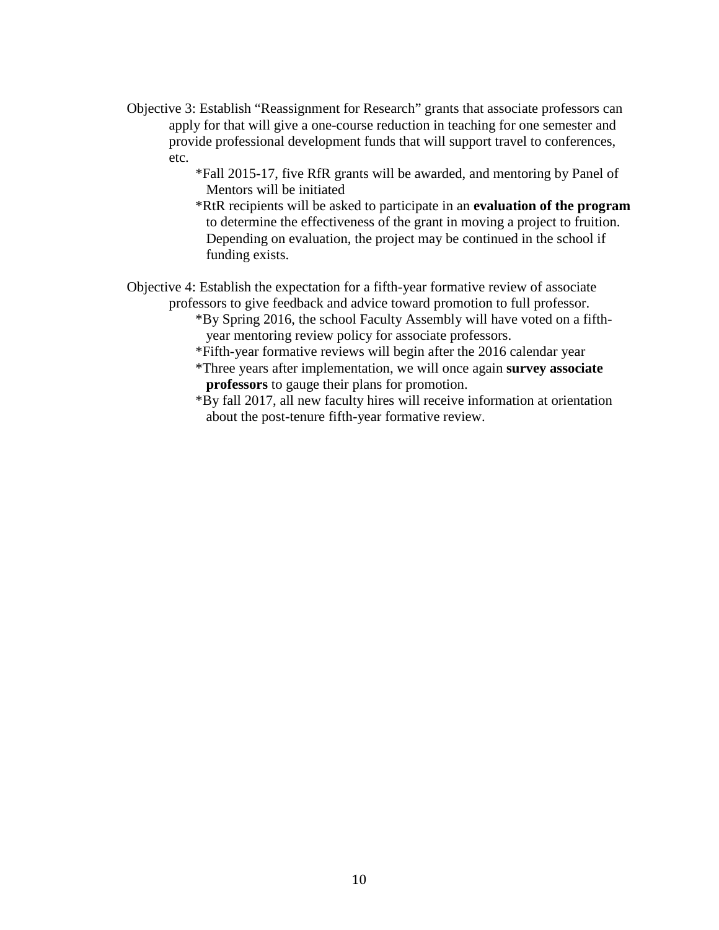- Objective 3: Establish "Reassignment for Research" grants that associate professors can apply for that will give a one-course reduction in teaching for one semester and provide professional development funds that will support travel to conferences, etc.
	- \*Fall 2015-17, five RfR grants will be awarded, and mentoring by Panel of Mentors will be initiated
	- \*RtR recipients will be asked to participate in an **evaluation of the program** to determine the effectiveness of the grant in moving a project to fruition. Depending on evaluation, the project may be continued in the school if funding exists.

Objective 4: Establish the expectation for a fifth-year formative review of associate professors to give feedback and advice toward promotion to full professor.

- \*By Spring 2016, the school Faculty Assembly will have voted on a fifthyear mentoring review policy for associate professors.
- \*Fifth-year formative reviews will begin after the 2016 calendar year
- \*Three years after implementation, we will once again **survey associate professors** to gauge their plans for promotion.
- \*By fall 2017, all new faculty hires will receive information at orientation about the post-tenure fifth-year formative review.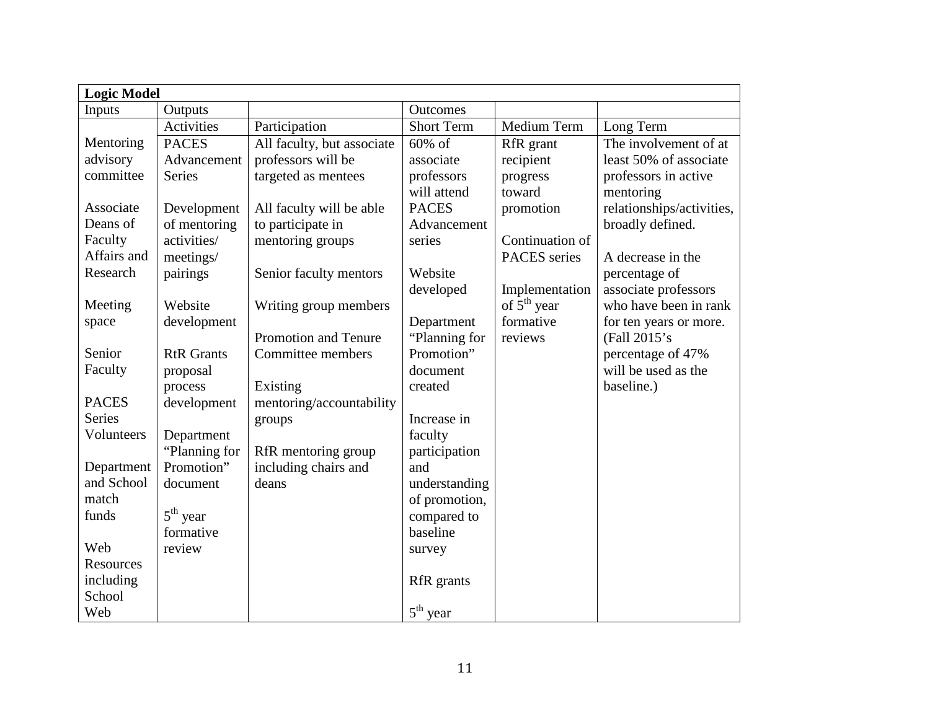| <b>Logic Model</b> |                   |                            |                   |                 |                           |
|--------------------|-------------------|----------------------------|-------------------|-----------------|---------------------------|
| Inputs             | Outputs           |                            | <b>Outcomes</b>   |                 |                           |
|                    | Activities        | Participation              | <b>Short Term</b> | Medium Term     | Long Term                 |
| Mentoring          | <b>PACES</b>      | All faculty, but associate | 60% of            | RfR grant       | The involvement of at     |
| advisory           | Advancement       | professors will be         | associate         | recipient       | least 50% of associate    |
| committee          | Series            | targeted as mentees        | professors        | progress        | professors in active      |
|                    |                   |                            | will attend       | toward          | mentoring                 |
| Associate          | Development       | All faculty will be able   | <b>PACES</b>      | promotion       | relationships/activities, |
| Deans of           | of mentoring      | to participate in          | Advancement       |                 | broadly defined.          |
| Faculty            | activities/       | mentoring groups           | series            | Continuation of |                           |
| Affairs and        | meetings/         |                            |                   | PACES series    | A decrease in the         |
| Research           | pairings          | Senior faculty mentors     | Website           |                 | percentage of             |
|                    |                   |                            | developed         | Implementation  | associate professors      |
| Meeting            | Website           | Writing group members      |                   | of $5th$ year   | who have been in rank     |
| space              | development       |                            | Department        | formative       | for ten years or more.    |
|                    |                   | Promotion and Tenure       | "Planning for     | reviews         | (Fall 2015's              |
| Senior             | <b>RtR</b> Grants | Committee members          | Promotion"        |                 | percentage of 47%         |
| Faculty            | proposal          |                            | document          |                 | will be used as the       |
|                    | process           | Existing                   | created           |                 | baseline.)                |
| <b>PACES</b>       | development       | mentoring/accountability   |                   |                 |                           |
| Series             |                   | groups                     | Increase in       |                 |                           |
| Volunteers         | Department        |                            | faculty           |                 |                           |
|                    | "Planning for     | RfR mentoring group        | participation     |                 |                           |
| Department         | Promotion"        | including chairs and       | and               |                 |                           |
| and School         | document          | deans                      | understanding     |                 |                           |
| match              |                   |                            | of promotion,     |                 |                           |
| funds              | $5th$ year        |                            | compared to       |                 |                           |
|                    | formative         |                            | baseline          |                 |                           |
| Web                | review            |                            | survey            |                 |                           |
| Resources          |                   |                            |                   |                 |                           |
| including          |                   |                            | RfR grants        |                 |                           |
| School             |                   |                            |                   |                 |                           |
| Web                |                   |                            | $5th$ year        |                 |                           |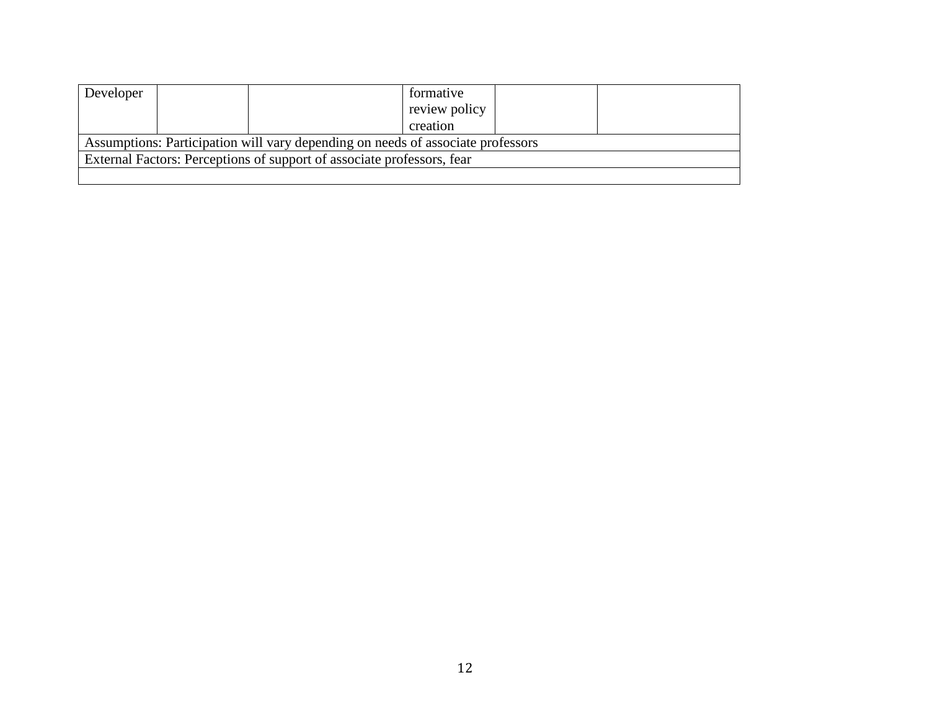| Developer | formative                                                                       |  |
|-----------|---------------------------------------------------------------------------------|--|
|           | review policy                                                                   |  |
|           | creation                                                                        |  |
|           | Assumptions: Participation will vary depending on needs of associate professors |  |
|           | External Factors: Perceptions of support of associate professors, fear          |  |
|           |                                                                                 |  |